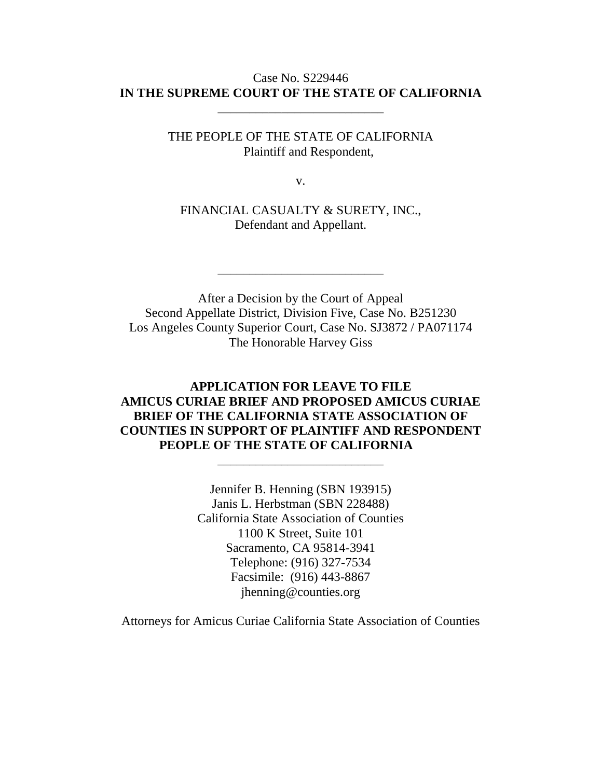#### Case No. S229446 **IN THE SUPREME COURT OF THE STATE OF CALIFORNIA**

\_\_\_\_\_\_\_\_\_\_\_\_\_\_\_\_\_\_\_\_\_\_\_\_\_\_

THE PEOPLE OF THE STATE OF CALIFORNIA Plaintiff and Respondent,

v.

FINANCIAL CASUALTY & SURETY, INC., Defendant and Appellant.

\_\_\_\_\_\_\_\_\_\_\_\_\_\_\_\_\_\_\_\_\_\_\_\_\_\_

After a Decision by the Court of Appeal Second Appellate District, Division Five, Case No. B251230 Los Angeles County Superior Court, Case No. SJ3872 / PA071174 The Honorable Harvey Giss

## **APPLICATION FOR LEAVE TO FILE AMICUS CURIAE BRIEF AND PROPOSED AMICUS CURIAE BRIEF OF THE CALIFORNIA STATE ASSOCIATION OF COUNTIES IN SUPPORT OF PLAINTIFF AND RESPONDENT PEOPLE OF THE STATE OF CALIFORNIA**

\_\_\_\_\_\_\_\_\_\_\_\_\_\_\_\_\_\_\_\_\_\_\_\_\_\_

Jennifer B. Henning (SBN 193915) Janis L. Herbstman (SBN 228488) California State Association of Counties 1100 K Street, Suite 101 Sacramento, CA 95814-3941 Telephone: (916) 327-7534 Facsimile: (916) 443-8867 jhenning@counties.org

Attorneys for Amicus Curiae California State Association of Counties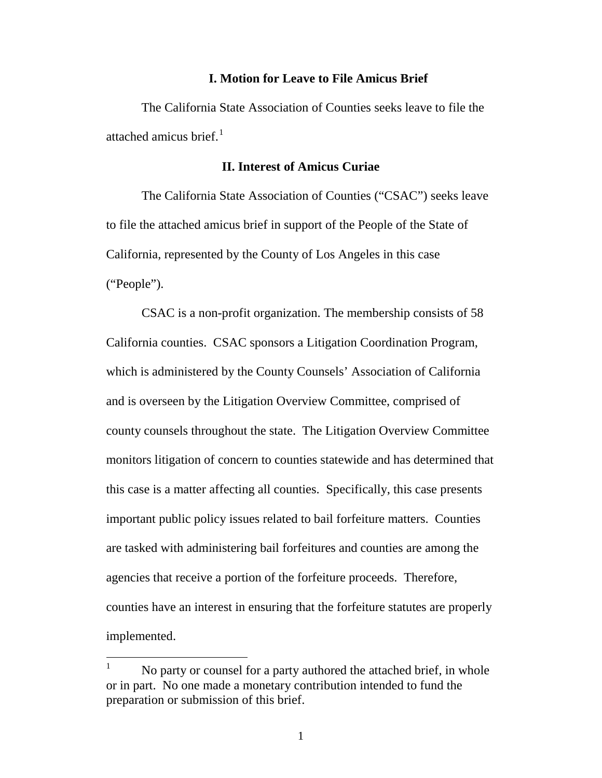#### **I. Motion for Leave to File Amicus Brief**

The California State Association of Counties seeks leave to file the attached amicus brief. $1$ 

#### **II. Interest of Amicus Curiae**

The California State Association of Counties ("CSAC") seeks leave to file the attached amicus brief in support of the People of the State of California, represented by the County of Los Angeles in this case ("People").

CSAC is a non-profit organization. The membership consists of 58 California counties. CSAC sponsors a Litigation Coordination Program, which is administered by the County Counsels' Association of California and is overseen by the Litigation Overview Committee, comprised of county counsels throughout the state. The Litigation Overview Committee monitors litigation of concern to counties statewide and has determined that this case is a matter affecting all counties. Specifically, this case presents important public policy issues related to bail forfeiture matters. Counties are tasked with administering bail forfeitures and counties are among the agencies that receive a portion of the forfeiture proceeds. Therefore, counties have an interest in ensuring that the forfeiture statutes are properly implemented.

<span id="page-1-0"></span> $1$  No party or counsel for a party authored the attached brief, in whole or in part. No one made a monetary contribution intended to fund the preparation or submission of this brief.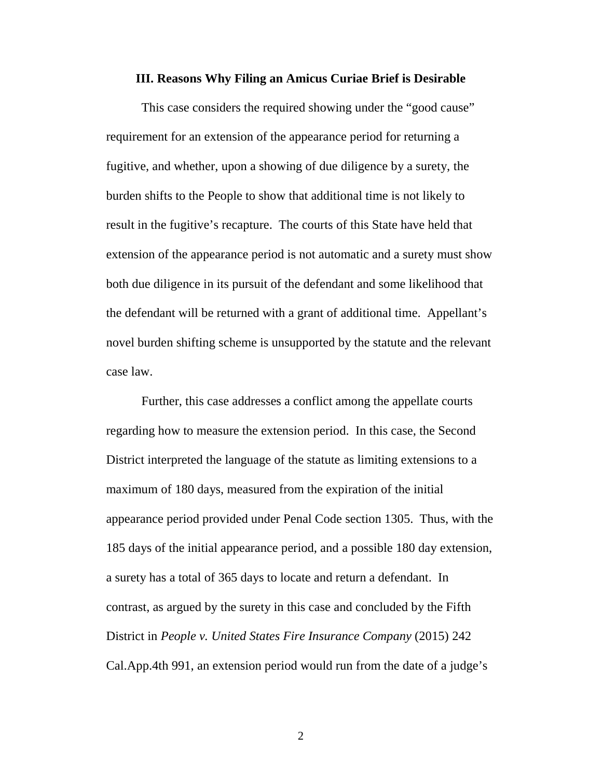#### **III. Reasons Why Filing an Amicus Curiae Brief is Desirable**

This case considers the required showing under the "good cause" requirement for an extension of the appearance period for returning a fugitive, and whether, upon a showing of due diligence by a surety, the burden shifts to the People to show that additional time is not likely to result in the fugitive's recapture. The courts of this State have held that extension of the appearance period is not automatic and a surety must show both due diligence in its pursuit of the defendant and some likelihood that the defendant will be returned with a grant of additional time. Appellant's novel burden shifting scheme is unsupported by the statute and the relevant case law.

Further, this case addresses a conflict among the appellate courts regarding how to measure the extension period. In this case, the Second District interpreted the language of the statute as limiting extensions to a maximum of 180 days, measured from the expiration of the initial appearance period provided under Penal Code section 1305. Thus, with the 185 days of the initial appearance period, and a possible 180 day extension, a surety has a total of 365 days to locate and return a defendant. In contrast, as argued by the surety in this case and concluded by the Fifth District in *People v. United States Fire Insurance Company* (2015) 242 Cal.App.4th 991, an extension period would run from the date of a judge's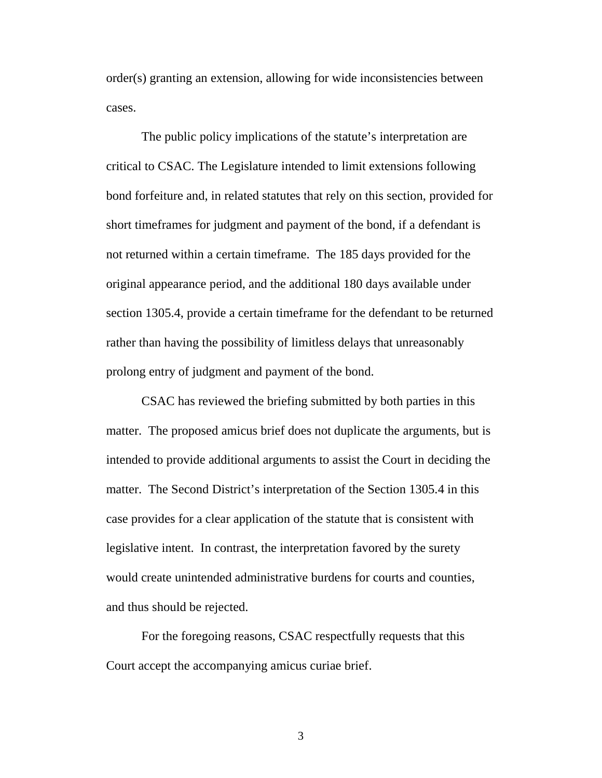order(s) granting an extension, allowing for wide inconsistencies between cases.

The public policy implications of the statute's interpretation are critical to CSAC. The Legislature intended to limit extensions following bond forfeiture and, in related statutes that rely on this section, provided for short timeframes for judgment and payment of the bond, if a defendant is not returned within a certain timeframe. The 185 days provided for the original appearance period, and the additional 180 days available under section 1305.4, provide a certain timeframe for the defendant to be returned rather than having the possibility of limitless delays that unreasonably prolong entry of judgment and payment of the bond.

CSAC has reviewed the briefing submitted by both parties in this matter. The proposed amicus brief does not duplicate the arguments, but is intended to provide additional arguments to assist the Court in deciding the matter. The Second District's interpretation of the Section 1305.4 in this case provides for a clear application of the statute that is consistent with legislative intent. In contrast, the interpretation favored by the surety would create unintended administrative burdens for courts and counties, and thus should be rejected.

For the foregoing reasons, CSAC respectfully requests that this Court accept the accompanying amicus curiae brief.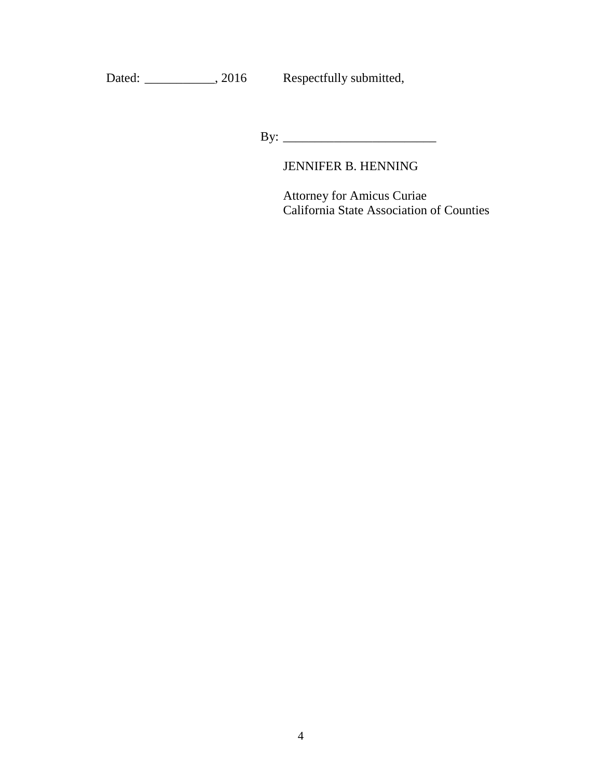# Dated: \_\_\_\_\_\_\_\_\_\_, 2016 Respectfully submitted,

By: \_\_\_\_\_\_\_\_\_\_\_\_\_\_\_\_\_\_\_\_\_\_\_\_

# JENNIFER B. HENNING

Attorney for Amicus Curiae California State Association of Counties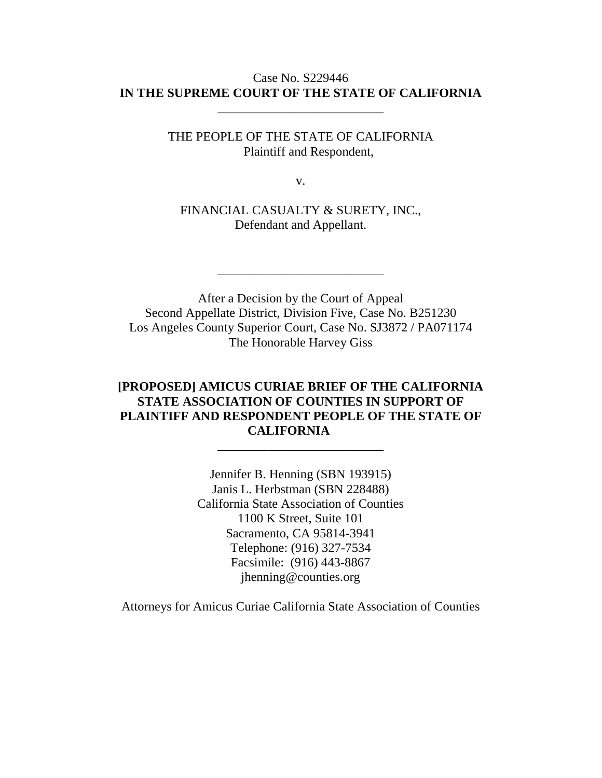#### Case No. S229446 **IN THE SUPREME COURT OF THE STATE OF CALIFORNIA**

\_\_\_\_\_\_\_\_\_\_\_\_\_\_\_\_\_\_\_\_\_\_\_\_\_\_

THE PEOPLE OF THE STATE OF CALIFORNIA Plaintiff and Respondent,

v.

FINANCIAL CASUALTY & SURETY, INC., Defendant and Appellant.

\_\_\_\_\_\_\_\_\_\_\_\_\_\_\_\_\_\_\_\_\_\_\_\_\_\_

After a Decision by the Court of Appeal Second Appellate District, Division Five, Case No. B251230 Los Angeles County Superior Court, Case No. SJ3872 / PA071174 The Honorable Harvey Giss

## **[PROPOSED] AMICUS CURIAE BRIEF OF THE CALIFORNIA STATE ASSOCIATION OF COUNTIES IN SUPPORT OF PLAINTIFF AND RESPONDENT PEOPLE OF THE STATE OF CALIFORNIA**

\_\_\_\_\_\_\_\_\_\_\_\_\_\_\_\_\_\_\_\_\_\_\_\_\_\_

Jennifer B. Henning (SBN 193915) Janis L. Herbstman (SBN 228488) California State Association of Counties 1100 K Street, Suite 101 Sacramento, CA 95814-3941 Telephone: (916) 327-7534 Facsimile: (916) 443-8867 jhenning@counties.org

Attorneys for Amicus Curiae California State Association of Counties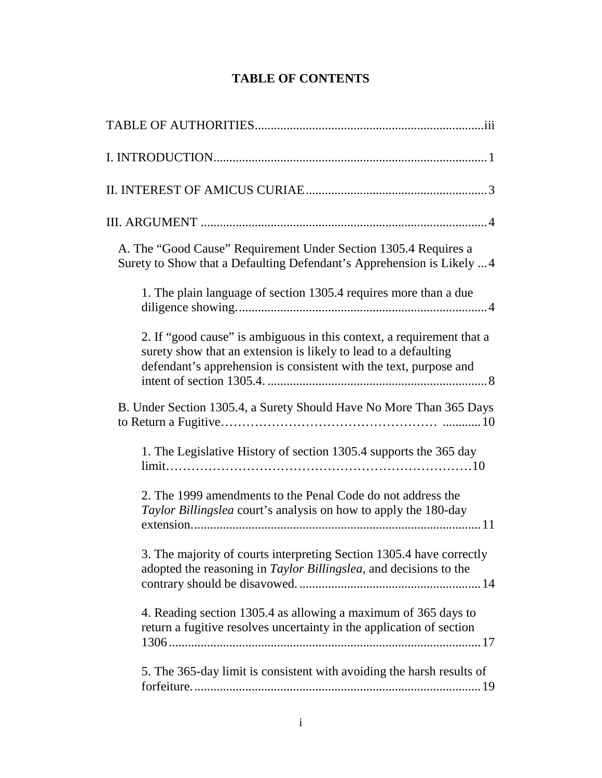# **TABLE OF CONTENTS**

| A. The "Good Cause" Requirement Under Section 1305.4 Requires a<br>Surety to Show that a Defaulting Defendant's Apprehension is Likely  4                                                                     |
|---------------------------------------------------------------------------------------------------------------------------------------------------------------------------------------------------------------|
| 1. The plain language of section 1305.4 requires more than a due                                                                                                                                              |
| 2. If "good cause" is ambiguous in this context, a requirement that a<br>surety show that an extension is likely to lead to a defaulting<br>defendant's apprehension is consistent with the text, purpose and |
| B. Under Section 1305.4, a Surety Should Have No More Than 365 Days                                                                                                                                           |
| 1. The Legislative History of section 1305.4 supports the 365 day                                                                                                                                             |
| 2. The 1999 amendments to the Penal Code do not address the<br>Taylor Billingslea court's analysis on how to apply the 180-day                                                                                |
| 3. The majority of courts interpreting Section 1305.4 have correctly<br>adopted the reasoning in Taylor Billingslea, and decisions to the                                                                     |
| 4. Reading section 1305.4 as allowing a maximum of 365 days to<br>return a fugitive resolves uncertainty in the application of section                                                                        |
| 5. The 365-day limit is consistent with avoiding the harsh results of                                                                                                                                         |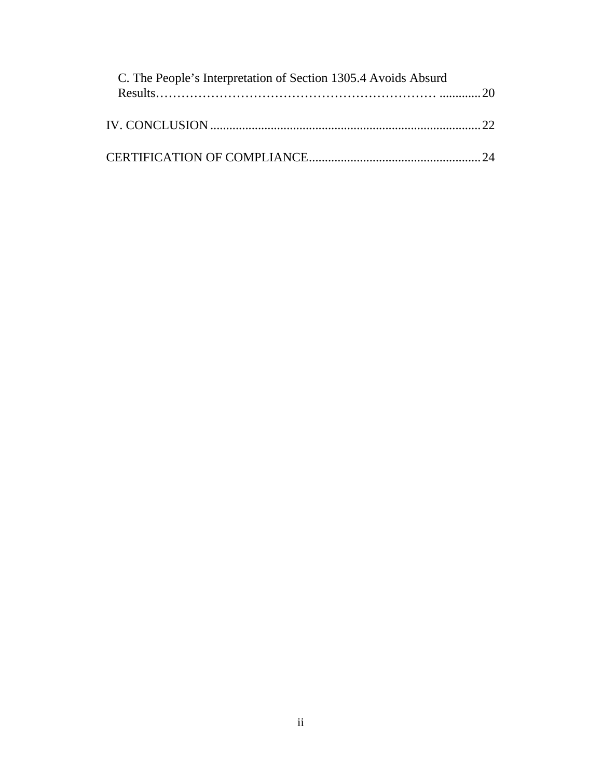| C. The People's Interpretation of Section 1305.4 Avoids Absurd |  |
|----------------------------------------------------------------|--|
|                                                                |  |
|                                                                |  |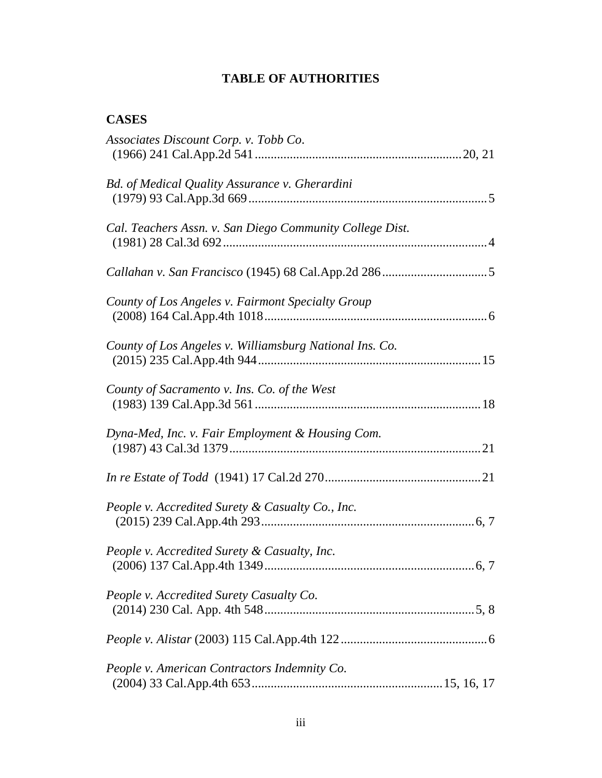# **TABLE OF AUTHORITIES**

# **CASES**

| Associates Discount Corp. v. Tobb Co.                    |
|----------------------------------------------------------|
| Bd. of Medical Quality Assurance v. Gherardini           |
| Cal. Teachers Assn. v. San Diego Community College Dist. |
|                                                          |
| County of Los Angeles v. Fairmont Specialty Group        |
| County of Los Angeles v. Williamsburg National Ins. Co.  |
| County of Sacramento v. Ins. Co. of the West             |
| Dyna-Med, Inc. v. Fair Employment & Housing Com.         |
|                                                          |
| People v. Accredited Surety & Casualty Co., Inc.         |
| People v. Accredited Surety & Casualty, Inc.             |
| People v. Accredited Surety Casualty Co.                 |
|                                                          |
| People v. American Contractors Indemnity Co.             |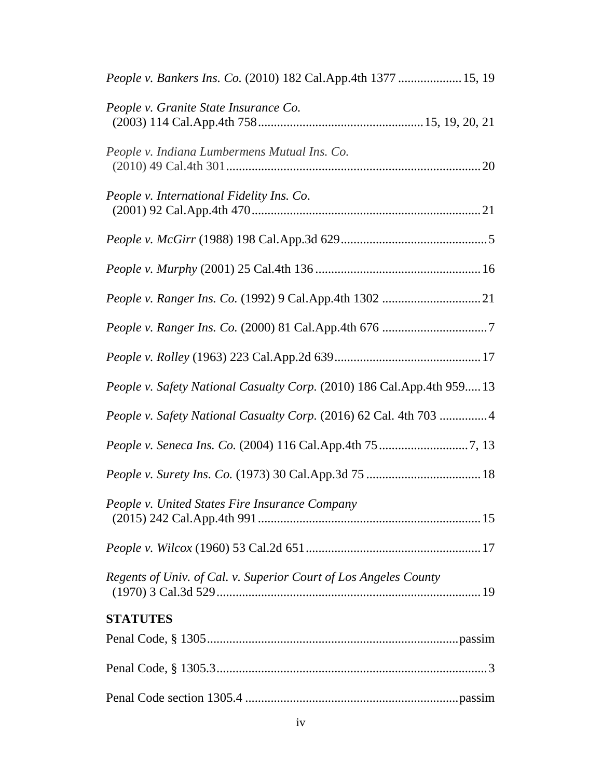| People v. Bankers Ins. Co. (2010) 182 Cal.App.4th 1377  15, 19           |
|--------------------------------------------------------------------------|
| People v. Granite State Insurance Co.                                    |
| People v. Indiana Lumbermens Mutual Ins. Co.                             |
| People v. International Fidelity Ins. Co.                                |
|                                                                          |
|                                                                          |
|                                                                          |
|                                                                          |
|                                                                          |
| People v. Safety National Casualty Corp. (2010) 186 Cal. App. 4th 959 13 |
| People v. Safety National Casualty Corp. (2016) 62 Cal. 4th 703 4        |
|                                                                          |
|                                                                          |
| People v. United States Fire Insurance Company                           |
|                                                                          |
| Regents of Univ. of Cal. v. Superior Court of Los Angeles County         |
| <b>STATUTES</b>                                                          |
|                                                                          |
|                                                                          |
|                                                                          |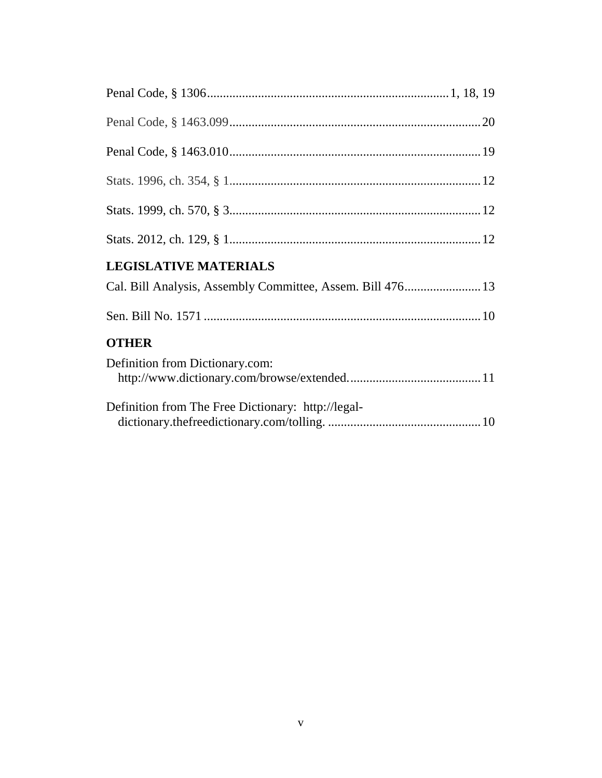| <b>LEGISLATIVE MATERIALS</b>                               |
|------------------------------------------------------------|
| Cal. Bill Analysis, Assembly Committee, Assem. Bill 476 13 |
|                                                            |
| <b>OTHER</b>                                               |
| Definition from Dictionary.com:                            |
| Definition from The Free Dictionary: http://legal-         |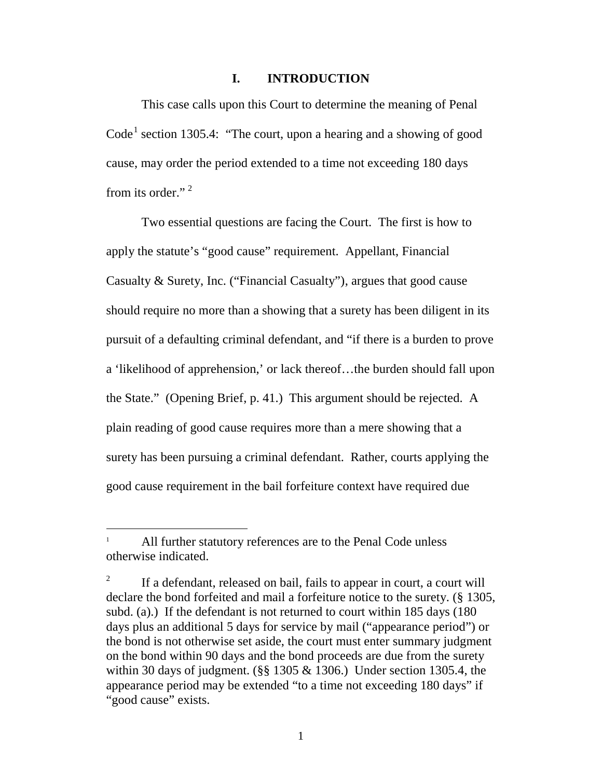#### **I. INTRODUCTION**

This case calls upon this Court to determine the meaning of Penal  $Code<sup>1</sup> section 1305.4: "The court, upon a hearing and a showing of good$  $Code<sup>1</sup> section 1305.4: "The court, upon a hearing and a showing of good$  $Code<sup>1</sup> section 1305.4: "The court, upon a hearing and a showing of good$ cause, may order the period extended to a time not exceeding 180 days from its order." [2](#page-11-1)

Two essential questions are facing the Court. The first is how to apply the statute's "good cause" requirement. Appellant, Financial Casualty & Surety, Inc. ("Financial Casualty"), argues that good cause should require no more than a showing that a surety has been diligent in its pursuit of a defaulting criminal defendant, and "if there is a burden to prove a 'likelihood of apprehension,' or lack thereof…the burden should fall upon the State." (Opening Brief, p. 41.) This argument should be rejected. A plain reading of good cause requires more than a mere showing that a surety has been pursuing a criminal defendant. Rather, courts applying the good cause requirement in the bail forfeiture context have required due

<span id="page-11-0"></span>All further statutory references are to the Penal Code unless otherwise indicated.

<span id="page-11-1"></span><sup>&</sup>lt;sup>2</sup> If a defendant, released on bail, fails to appear in court, a court will declare the bond forfeited and mail a forfeiture notice to the surety. (§ 1305, subd. (a).) If the defendant is not returned to court within 185 days (180 days plus an additional 5 days for service by mail ("appearance period") or the bond is not otherwise set aside, the court must enter summary judgment on the bond within 90 days and the bond proceeds are due from the surety within 30 days of judgment. ( $\S$ § 1305 & 1306.) Under section 1305.4, the appearance period may be extended "to a time not exceeding 180 days" if "good cause" exists.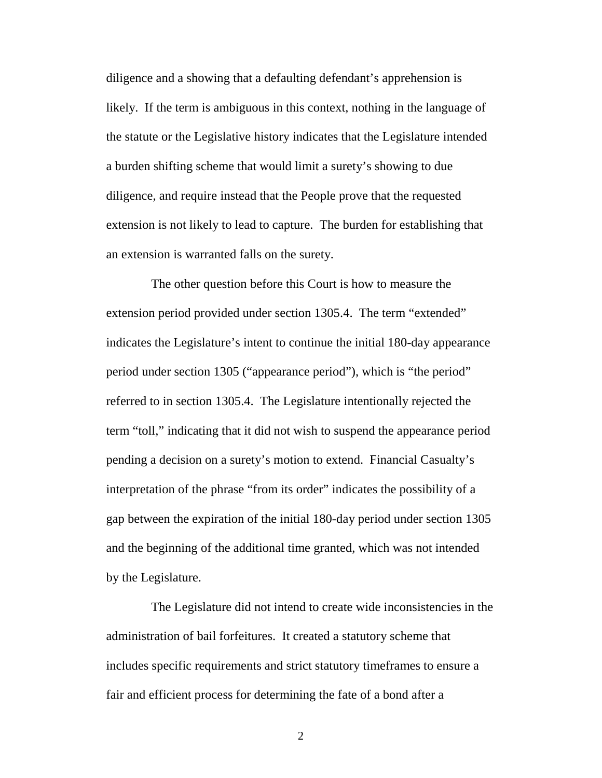diligence and a showing that a defaulting defendant's apprehension is likely. If the term is ambiguous in this context, nothing in the language of the statute or the Legislative history indicates that the Legislature intended a burden shifting scheme that would limit a surety's showing to due diligence, and require instead that the People prove that the requested extension is not likely to lead to capture. The burden for establishing that an extension is warranted falls on the surety.

The other question before this Court is how to measure the extension period provided under section 1305.4. The term "extended" indicates the Legislature's intent to continue the initial 180-day appearance period under section 1305 ("appearance period"), which is "the period" referred to in section 1305.4. The Legislature intentionally rejected the term "toll," indicating that it did not wish to suspend the appearance period pending a decision on a surety's motion to extend. Financial Casualty's interpretation of the phrase "from its order" indicates the possibility of a gap between the expiration of the initial 180-day period under section 1305 and the beginning of the additional time granted, which was not intended by the Legislature.

The Legislature did not intend to create wide inconsistencies in the administration of bail forfeitures. It created a statutory scheme that includes specific requirements and strict statutory timeframes to ensure a fair and efficient process for determining the fate of a bond after a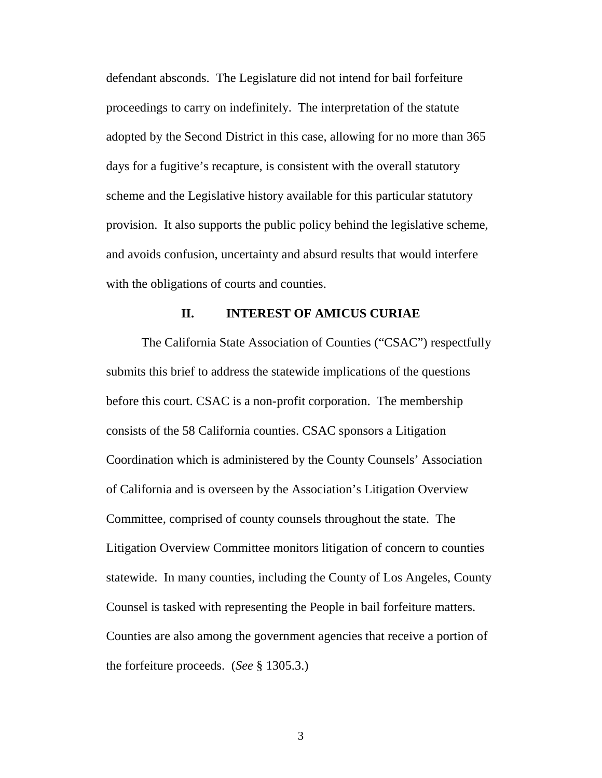defendant absconds. The Legislature did not intend for bail forfeiture proceedings to carry on indefinitely. The interpretation of the statute adopted by the Second District in this case, allowing for no more than 365 days for a fugitive's recapture, is consistent with the overall statutory scheme and the Legislative history available for this particular statutory provision. It also supports the public policy behind the legislative scheme, and avoids confusion, uncertainty and absurd results that would interfere with the obligations of courts and counties.

#### **II. INTEREST OF AMICUS CURIAE**

The California State Association of Counties ("CSAC") respectfully submits this brief to address the statewide implications of the questions before this court. CSAC is a non-profit corporation. The membership consists of the 58 California counties. CSAC sponsors a Litigation Coordination which is administered by the County Counsels' Association of California and is overseen by the Association's Litigation Overview Committee, comprised of county counsels throughout the state. The Litigation Overview Committee monitors litigation of concern to counties statewide. In many counties, including the County of Los Angeles, County Counsel is tasked with representing the People in bail forfeiture matters. Counties are also among the government agencies that receive a portion of the forfeiture proceeds. (*See* § 1305.3.)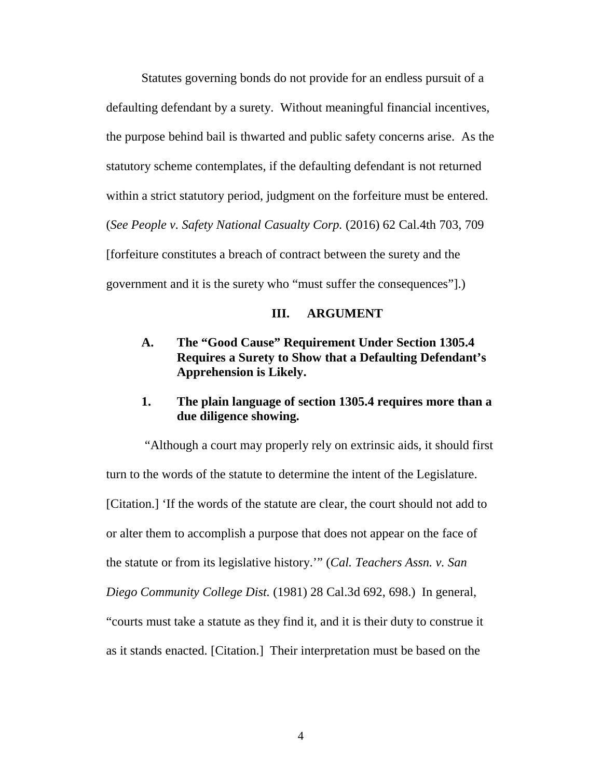Statutes governing bonds do not provide for an endless pursuit of a defaulting defendant by a surety. Without meaningful financial incentives, the purpose behind bail is thwarted and public safety concerns arise. As the statutory scheme contemplates, if the defaulting defendant is not returned within a strict statutory period, judgment on the forfeiture must be entered. (*See [People v. Safety National Casualty Corp.](http://www.lexis.com/research/xlink?app=00075&view=full&searchtype=le&search=62+Cal.+4th+703%2520at%2520709)* (2016) 62 Cal.4th 703, 709 [forfeiture constitutes a breach of contract between the surety and the government and it is the surety who "must suffer the consequences"].)

#### **III. ARGUMENT**

# **A. The "Good Cause" Requirement Under Section 1305.4 Requires a Surety to Show that a Defaulting Defendant's Apprehension is Likely.**

## **1. The plain language of section 1305.4 requires more than a due diligence showing.**

"Although a court may properly rely on extrinsic aids, it should first turn to the words of the statute to determine the intent of the Legislature. [Citation.] 'If the words of the statute are clear, the court should not add to or alter them to accomplish a purpose that does not appear on the face of the statute or from its legislative history.'" (*Cal. Teachers Assn. v. San Diego Community College Dist.* (1981) 28 Cal.3d 692, 698.) In general, "courts must take a statute as they find it, and it is their duty to construe it as it stands enacted. [Citation.] Their interpretation must be based on the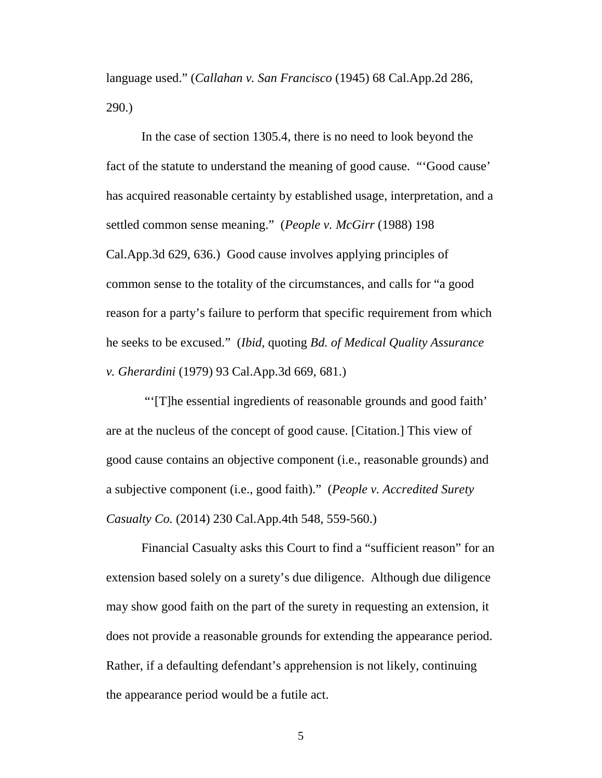language used." (*Callahan v. San Francisco* (1945) 68 Cal.App.2d 286, 290.)

In the case of section 1305.4, there is no need to look beyond the fact of the statute to understand the meaning of good cause. "'Good cause' has acquired reasonable certainty by established usage, interpretation, and a settled common sense meaning." (*People v. McGirr* (1988) 198 Cal.App.3d 629, 636.) Good cause involves applying principles of common sense to the totality of the circumstances, and calls for "a good reason for a party's failure to perform that specific requirement from which he seeks to be excused." (*Ibid,* quoting *Bd. of Medical Quality Assurance v. Gherardini* (1979) 93 Cal.App.3d 669, 681.)

"'[T]he essential ingredients of reasonable grounds and good faith' are at the nucleus of the concept of good cause. [Citation.] This view of good cause contains an objective component (i.e., reasonable grounds) and a subjective component (i.e., good faith)." (*[People v. Accredited Surety](http://www.lexis.com/research/xlink?app=00075&view=full&searchtype=le&search=230+Cal.+App.+4th+548%2520at%2520559)  Casualty Co.* [\(2014\) 230 Cal.App.4th 548, 559-560.\)](http://www.lexis.com/research/xlink?app=00075&view=full&searchtype=le&search=230+Cal.+App.+4th+548%2520at%2520559)

Financial Casualty asks this Court to find a "sufficient reason" for an extension based solely on a surety's due diligence. Although due diligence may show good faith on the part of the surety in requesting an extension, it does not provide a reasonable grounds for extending the appearance period. Rather, if a defaulting defendant's apprehension is not likely, continuing the appearance period would be a futile act.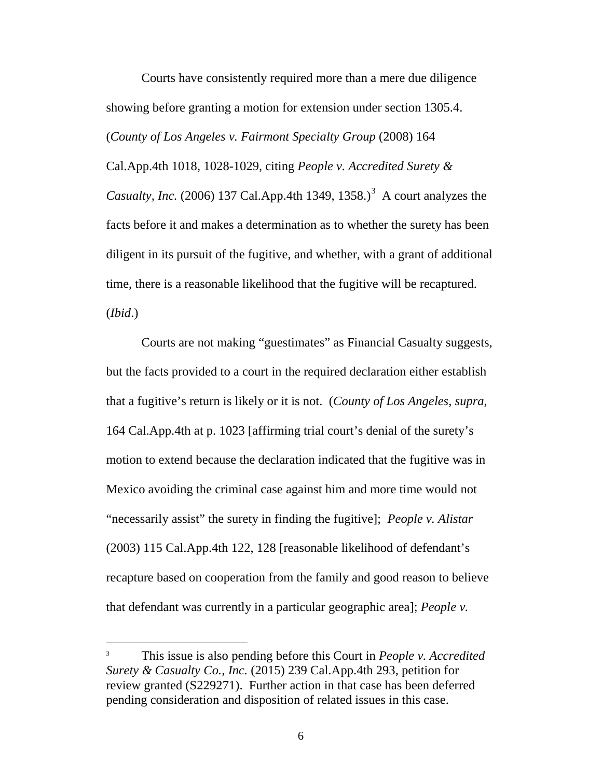Courts have consistently required more than a mere due diligence showing before granting a motion for extension under section 1305.4. (*[County of Los Angeles v. Fairmont Specialty Group](http://www.lexis.com/research/xlink?app=00075&view=full&searchtype=le&search=230+Cal.+App.+4th+548)* (2008) 164 [Cal.App.4th 1018, 1028-1029, citing](http://www.lexis.com/research/xlink?app=00075&view=full&searchtype=le&search=230+Cal.+App.+4th+548) *People v. Accredited Surety & Casualty, Inc.* [\(2006\) 137 Cal.App.4th 1349, 1358.\)](http://www.lexis.com/research/xlink?app=00075&view=full&searchtype=le&search=230+Cal.+App.+4th+548)<sup>[3](#page-16-0)</sup> A court analyzes the facts before it and makes a determination as to whether the surety has been diligent in its pursuit of the fugitive, and whether, with a grant of additional time, there is a reasonable likelihood that the fugitive will be recaptured. (*Ibid*.)

Courts are not making "guestimates" as Financial Casualty suggests, but the facts provided to a court in the required declaration either establish that a fugitive's return is likely or it is not. (*County of Los Angeles, supra,*  164 Cal.App.4th at p. 1023 [affirming trial court's denial of the surety's motion to extend because the declaration indicated that the fugitive was in Mexico avoiding the criminal case against him and more time would not "necessarily assist" the surety in finding the fugitive]; *People v. Alistar* (2003) 115 Cal.App.4th 122, 128 [reasonable likelihood of defendant's recapture based on cooperation from the family and good reason to believe that defendant was currently in a particular geographic area]; *[People v.](http://www.lexis.com/research/xlink?app=00075&view=full&searchtype=le&search=137+Cal.+App.+4th+1349)* 

<span id="page-16-0"></span> <sup>3</sup> This issue is also pending before this Court in *People v. Accredited Surety & Casualty Co., Inc.* (2015) 239 Cal.App.4th 293, petition for review granted (S229271). Further action in that case has been deferred pending consideration and disposition of related issues in this case.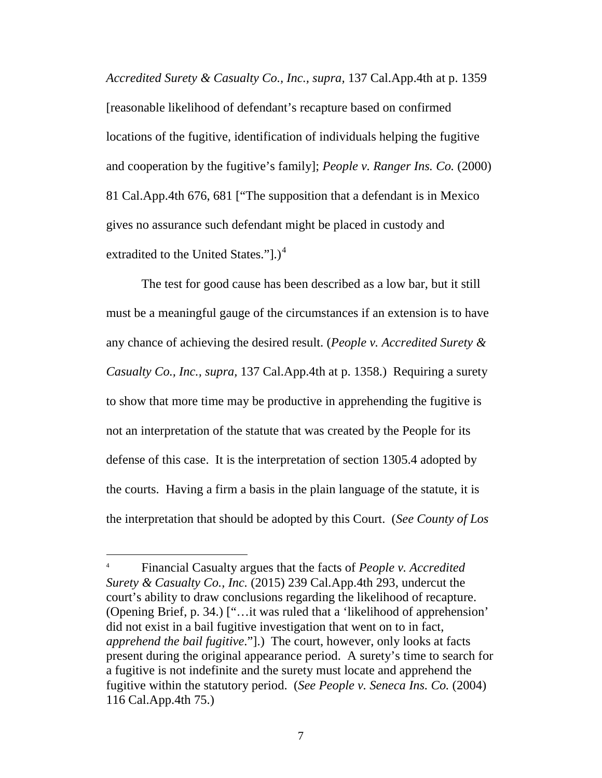*[Accredited Surety & Casualty Co., Inc., supra,](http://www.lexis.com/research/xlink?app=00075&view=full&searchtype=le&search=137+Cal.+App.+4th+1349)* 137 Cal.App.4th at p. 1359 [reasonable likelihood of defendant's recapture based on confirmed locations of the fugitive, identification of individuals helping the fugitive and cooperation by the fugitive's family]; *People v. Ranger Ins. Co.* (2000) 81 Cal.App.4th 676, 681 ["The supposition that a defendant is in Mexico gives no assurance such defendant might be placed in custody and extradited to the United States." $).$ <sup>[4](#page-17-0)</sup>

The test for good cause has been described as a low bar, but it still must be a meaningful gauge of the circumstances if an extension is to have any chance of achieving the desired result. (*People v. Accredited Surety & Casualty Co., Inc., supra,* 137 Cal.App.4th at p. 1358.) Requiring a surety to show that more time may be productive in apprehending the fugitive is not an interpretation of the statute that was created by the People for its defense of this case. It is the interpretation of section 1305.4 adopted by the courts. Having a firm a basis in the plain language of the statute, it is the interpretation that should be adopted by this Court. (*See County of Los* 

<span id="page-17-0"></span> <sup>4</sup> Financial Casualty argues that the facts of *People v. Accredited Surety & Casualty Co., Inc.* (2015) 239 Cal.App.4th 293, undercut the court's ability to draw conclusions regarding the likelihood of recapture. (Opening Brief, p. 34.) ["…it was ruled that a 'likelihood of apprehension' did not exist in a bail fugitive investigation that went on to in fact, *apprehend the bail fugitive*."].) The court, however, only looks at facts present during the original appearance period. A surety's time to search for a fugitive is not indefinite and the surety must locate and apprehend the fugitive within the statutory period. (*See People v. Seneca Ins. Co.* (2004) 116 Cal.App.4th 75.)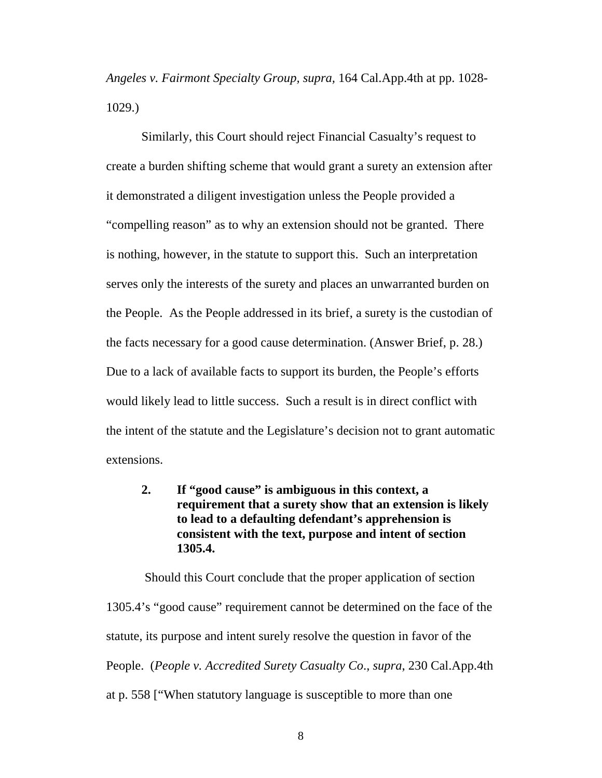*Angeles v. Fairmont Specialty Group, supra,* 164 Cal.App.4th at pp. 1028- 1029.)

Similarly, this Court should reject Financial Casualty's request to create a burden shifting scheme that would grant a surety an extension after it demonstrated a diligent investigation unless the People provided a "compelling reason" as to why an extension should not be granted. There is nothing, however, in the statute to support this. Such an interpretation serves only the interests of the surety and places an unwarranted burden on the People. As the People addressed in its brief, a surety is the custodian of the facts necessary for a good cause determination. (Answer Brief, p. 28.) Due to a lack of available facts to support its burden, the People's efforts would likely lead to little success. Such a result is in direct conflict with the intent of the statute and the Legislature's decision not to grant automatic extensions.

# **2. If "good cause" is ambiguous in this context, a requirement that a surety show that an extension is likely to lead to a defaulting defendant's apprehension is consistent with the text, purpose and intent of section 1305.4.**

Should this Court conclude that the proper application of section 1305.4's "good cause" requirement cannot be determined on the face of the statute, its purpose and intent surely resolve the question in favor of the People. (*[People v. Accredited Surety Casualty Co](http://www.lexis.com/research/xlink?app=00075&view=full&searchtype=le&search=230+Cal.+App.+4th+548%2520at%2520558)*., *supra*, 230 Cal.App.4th [at p. 558 \["](http://www.lexis.com/research/xlink?app=00075&view=full&searchtype=le&search=230+Cal.+App.+4th+548%2520at%2520558)When statutory language is susceptible to more than one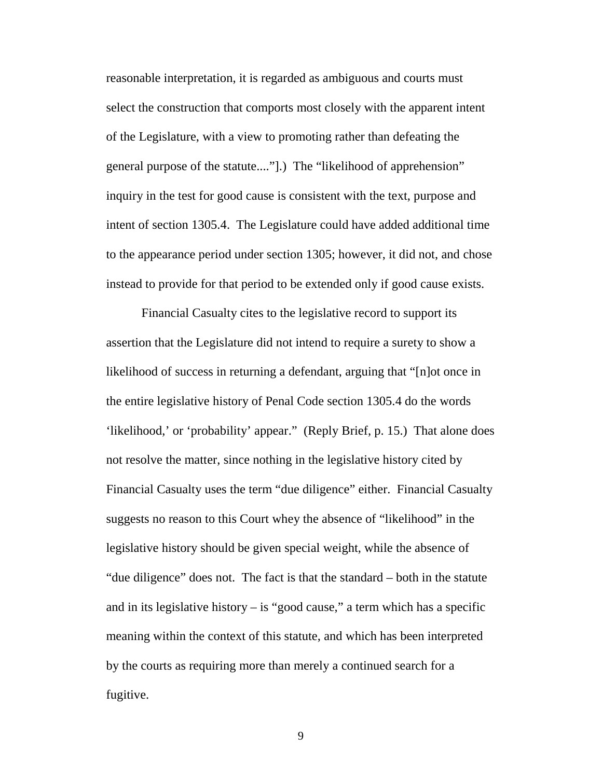reasonable interpretation, it is regarded as ambiguous and courts must select the construction that comports most closely with the apparent intent of the Legislature, with a view to promoting rather than defeating the general purpose of the statute...."].) The "likelihood of apprehension" inquiry in the test for good cause is consistent with the text, purpose and intent of section 1305.4. The Legislature could have added additional time to the appearance period under section 1305; however, it did not, and chose instead to provide for that period to be extended only if good cause exists.

Financial Casualty cites to the legislative record to support its assertion that the Legislature did not intend to require a surety to show a likelihood of success in returning a defendant, arguing that "[n]ot once in the entire legislative history of Penal Code section 1305.4 do the words 'likelihood,' or 'probability' appear." (Reply Brief, p. 15.) That alone does not resolve the matter, since nothing in the legislative history cited by Financial Casualty uses the term "due diligence" either. Financial Casualty suggests no reason to this Court whey the absence of "likelihood" in the legislative history should be given special weight, while the absence of "due diligence" does not. The fact is that the standard – both in the statute and in its legislative history  $-$  is "good cause," a term which has a specific meaning within the context of this statute, and which has been interpreted by the courts as requiring more than merely a continued search for a fugitive.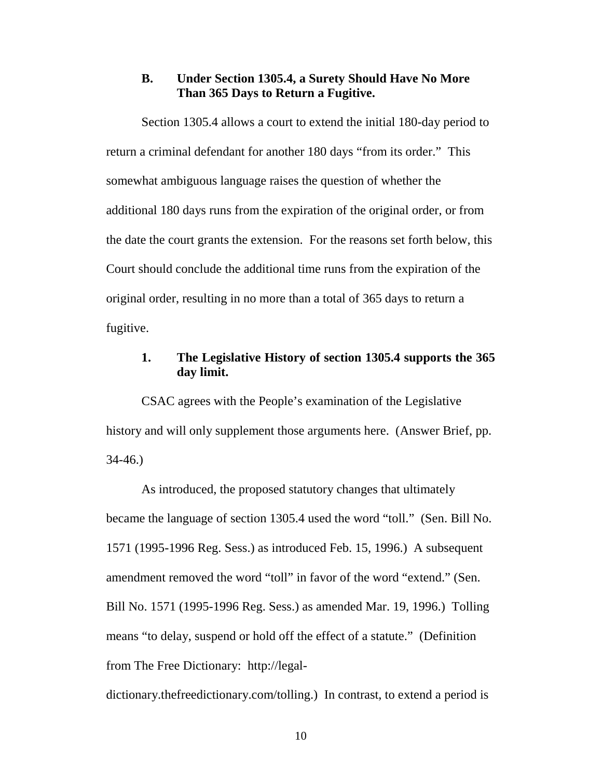#### **B. Under Section 1305.4, a Surety Should Have No More Than 365 Days to Return a Fugitive.**

Section 1305.4 allows a court to extend the initial 180-day period to return a criminal defendant for another 180 days "from its order." This somewhat ambiguous language raises the question of whether the additional 180 days runs from the expiration of the original order, or from the date the court grants the extension. For the reasons set forth below, this Court should conclude the additional time runs from the expiration of the original order, resulting in no more than a total of 365 days to return a fugitive.

#### **1. The Legislative History of section 1305.4 supports the 365 day limit.**

CSAC agrees with the People's examination of the Legislative history and will only supplement those arguments here. (Answer Brief, pp. 34-46.)

As introduced, the proposed statutory changes that ultimately became the language of section 1305.4 used the word "toll." (Sen. Bill No. 1571 (1995-1996 Reg. Sess.) as introduced Feb. 15, 1996.) A subsequent amendment removed the word "toll" in favor of the word "extend." (Sen. Bill No. 1571 (1995-1996 Reg. Sess.) as amended Mar. 19, 1996.) Tolling means "to delay, suspend or hold off the effect of a statute." (Definition from The Free Dictionary: http://legal-

dictionary.thefreedictionary.com/tolling.) In contrast, to extend a period is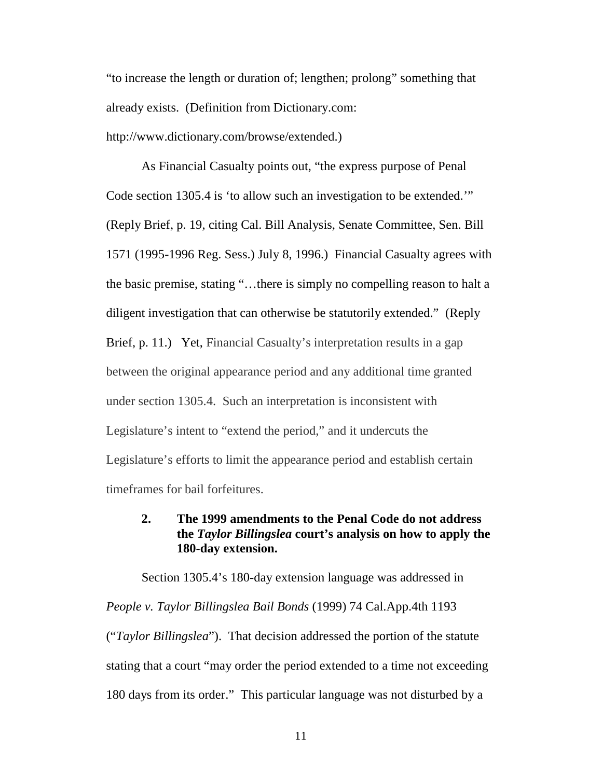"to increase the length or duration of; lengthen; prolong" something that already exists. (Definition from Dictionary.com: http://www.dictionary.com/browse/extended.)

As Financial Casualty points out, "the express purpose of Penal Code section 1305.4 is 'to allow such an investigation to be extended.'" (Reply Brief, p. 19, citing Cal. Bill Analysis, Senate Committee, Sen. Bill 1571 (1995-1996 Reg. Sess.) July 8, 1996.) Financial Casualty agrees with the basic premise, stating "…there is simply no compelling reason to halt a diligent investigation that can otherwise be statutorily extended." (Reply Brief, p. 11.) Yet, Financial Casualty's interpretation results in a gap between the original appearance period and any additional time granted under section 1305.4. Such an interpretation is inconsistent with Legislature's intent to "extend the period," and it undercuts the Legislature's efforts to limit the appearance period and establish certain timeframes for bail forfeitures.

## **2. The 1999 amendments to the Penal Code do not address the** *Taylor Billingslea* **court's analysis on how to apply the 180-day extension.**

Section 1305.4's 180-day extension language was addressed in *People v. Taylor Billingslea Bail Bonds* (1999) 74 Cal.App.4th 1193 ("*Taylor Billingslea*"). That decision addressed the portion of the statute stating that a court "may order the period extended to a time not exceeding 180 days from its order." This particular language was not disturbed by a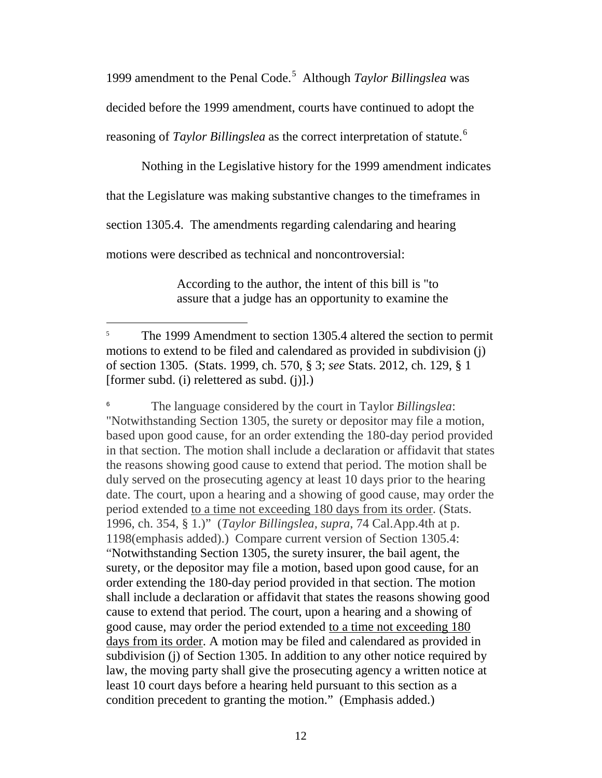1999 amendment to the Penal Code.<sup>[5](#page-22-0)</sup> Although *Taylor Billingslea* was decided before the 1999 amendment, courts have continued to adopt the reasoning of *Taylor Billingslea* as the correct interpretation of statute.<sup>[6](#page-22-1)</sup>

Nothing in the Legislative history for the 1999 amendment indicates

that the Legislature was making substantive changes to the timeframes in

section 1305.4. The amendments regarding calendaring and hearing

motions were described as technical and noncontroversial:

According to the author, the intent of this bill is "to assure that a judge has an opportunity to examine the

<span id="page-22-1"></span><sup>6</sup> The language considered by the court in Taylor *Billingslea*: "Notwithstanding Section 1305, the surety or depositor may file a motion, based upon good cause, for an order extending the 180-day period provided in that section. The motion shall include a declaration or affidavit that states the reasons showing good cause to extend that period. The motion shall be duly served on the prosecuting agency at least 10 days prior to the hearing date. The court, upon a hearing and a showing of good cause, may order the period extended to a time not exceeding 180 days from its order. (Stats. 1996, ch. 354, § 1.)" (*Taylor Billingslea, supra*, 74 Cal.App.4th at p. 1198(emphasis added).) Compare current version of Section 1305.4: "Notwithstanding Section 1305, the surety insurer, the bail agent, the surety, or the depositor may file a motion, based upon good cause, for an order extending the 180-day period provided in that section. The motion shall include a declaration or affidavit that states the reasons showing good cause to extend that period. The court, upon a hearing and a showing of good cause, may order the period extended to a time not exceeding 180 days from its order. A motion may be filed and calendared as provided in subdivision (j) of Section 1305. In addition to any other notice required by law, the moving party shall give the prosecuting agency a written notice at least 10 court days before a hearing held pursuant to this section as a condition precedent to granting the motion." (Emphasis added.)

<span id="page-22-0"></span><sup>&</sup>lt;sup>5</sup> The 1999 Amendment to section 1305.4 altered the section to permit motions to extend to be filed and calendared as provided in subdivision (j) of section 1305. (Stats. 1999, ch. 570, § 3; *see* Stats. 2012, ch. 129, § 1 [former subd. (i) relettered as subd. (j)].)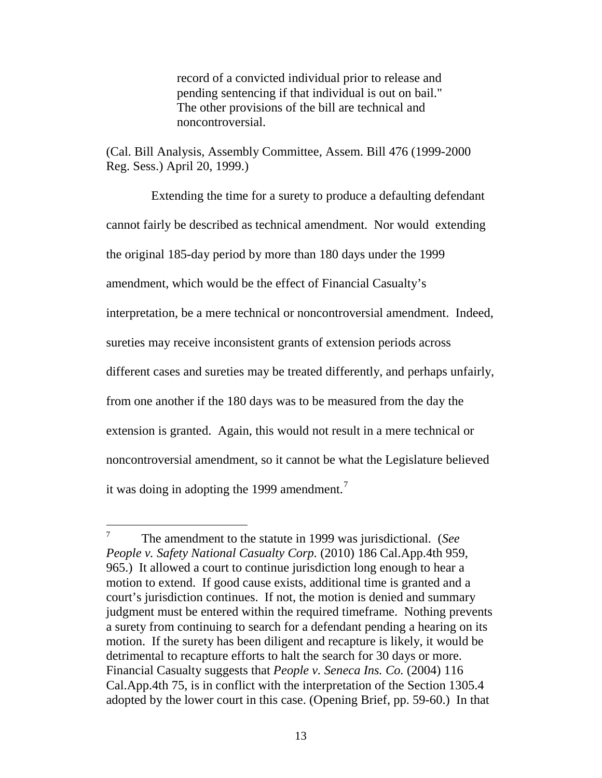record of a convicted individual prior to release and pending sentencing if that individual is out on bail." The other provisions of the bill are technical and noncontroversial.

(Cal. Bill Analysis, Assembly Committee, Assem. Bill 476 (1999-2000 Reg. Sess.) April 20, 1999.)

Extending the time for a surety to produce a defaulting defendant cannot fairly be described as technical amendment. Nor would extending the original 185-day period by more than 180 days under the 1999 amendment, which would be the effect of Financial Casualty's interpretation, be a mere technical or noncontroversial amendment. Indeed, sureties may receive inconsistent grants of extension periods across different cases and sureties may be treated differently, and perhaps unfairly, from one another if the 180 days was to be measured from the day the extension is granted. Again, this would not result in a mere technical or noncontroversial amendment, so it cannot be what the Legislature believed it was doing in adopting the 1999 amendment.<sup>[7](#page-23-0)</sup>

<span id="page-23-0"></span> <sup>7</sup> The amendment to the statute in 1999 was jurisdictional. (*See People v. Safety National Casualty Corp.* (2010) 186 Cal.App.4th 959, 965.) It allowed a court to continue jurisdiction long enough to hear a motion to extend. If good cause exists, additional time is granted and a court's jurisdiction continues. If not, the motion is denied and summary judgment must be entered within the required timeframe. Nothing prevents a surety from continuing to search for a defendant pending a hearing on its motion. If the surety has been diligent and recapture is likely, it would be detrimental to recapture efforts to halt the search for 30 days or more. Financial Casualty suggests that *People v. Seneca Ins. Co.* (2004) 116 Cal.App.4th 75, is in conflict with the interpretation of the Section 1305.4 adopted by the lower court in this case. (Opening Brief, pp. 59-60.) In that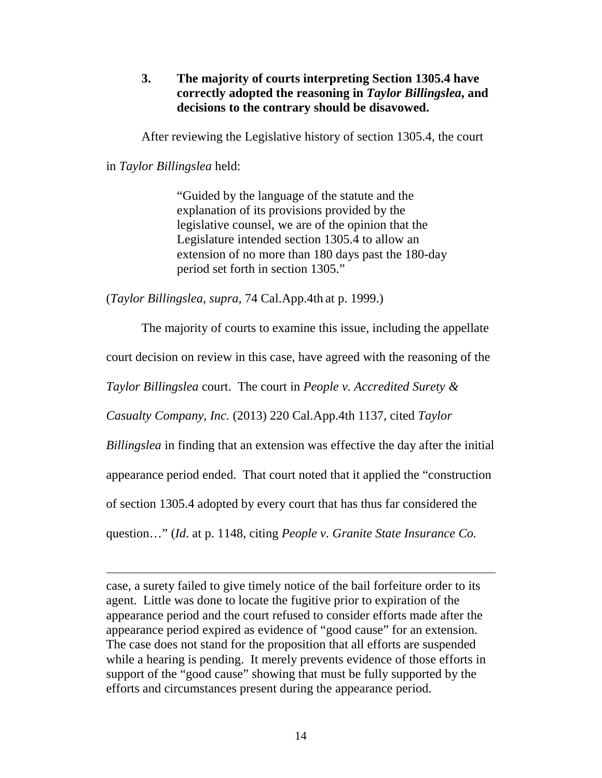**3. The majority of courts interpreting Section 1305.4 have correctly adopted the reasoning in** *Taylor Billingslea***, and decisions to the contrary should be disavowed.**

After reviewing the Legislative history of section 1305.4, the court

in *Taylor Billingslea* held:

 $\overline{a}$ 

"Guided by the language of the statute and the explanation of its provisions provided by the legislative counsel, we are of the opinion that the Legislature intended section 1305.4 to allow an extension of no more than 180 days past the 180-day period set forth in section 1305."

(*Taylor Billingslea, supra,* 74 Cal.App.4th at p. 1999.)

The majority of courts to examine this issue, including the appellate court decision on review in this case, have agreed with the reasoning of the *Taylor Billingslea* court. The court in *People v. Accredited Surety &* 

*Casualty Company, Inc.* (2013) 220 Cal.App.4th 1137*,* cited *Taylor* 

*Billingslea* in finding that an extension was effective the day after the initial

appearance period ended. That court noted that it applied the "construction

of section 1305.4 adopted by every court that has thus far considered the

question…" (*Id*. at p. 1148, citing *People v. Granite State Insurance Co.* 

case, a surety failed to give timely notice of the bail forfeiture order to its agent. Little was done to locate the fugitive prior to expiration of the appearance period and the court refused to consider efforts made after the appearance period expired as evidence of "good cause" for an extension. The case does not stand for the proposition that all efforts are suspended while a hearing is pending. It merely prevents evidence of those efforts in support of the "good cause" showing that must be fully supported by the efforts and circumstances present during the appearance period.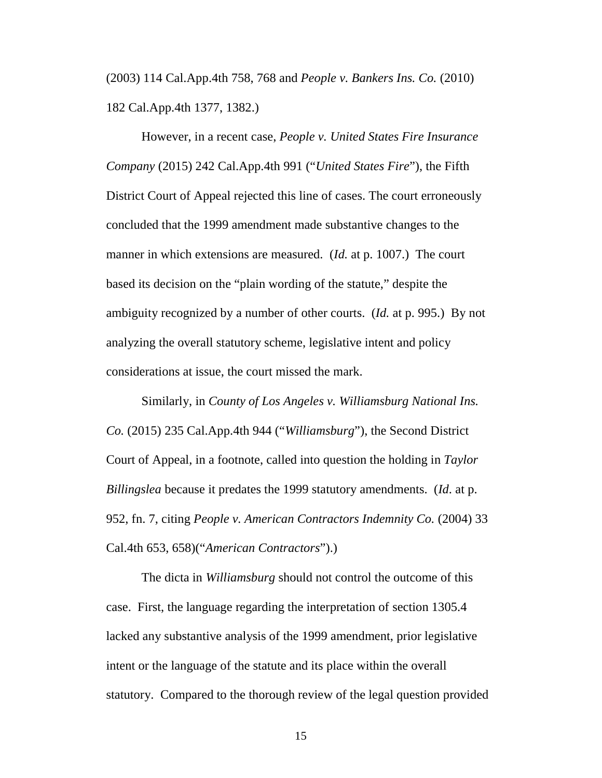(2003) 114 Cal.App.4th 758, 768 and *People v. Bankers Ins. Co.* (2010) 182 Cal.App.4th 1377, 1382.)

However, in a recent case, *People v. United States Fire Insurance Company* (2015) 242 Cal.App.4th 991 ("*United States Fire*"), the Fifth District Court of Appeal rejected this line of cases. The court erroneously concluded that the 1999 amendment made substantive changes to the manner in which extensions are measured. (*Id.* at p. 1007.) The court based its decision on the "plain wording of the statute," despite the ambiguity recognized by a number of other courts. (*Id.* at p. 995.) By not analyzing the overall statutory scheme, legislative intent and policy considerations at issue, the court missed the mark.

Similarly, in *County of Los Angeles v. Williamsburg National Ins. Co.* (2015) 235 Cal.App.4th 944 ("*Williamsburg*"), the Second District Court of Appeal, in a footnote, called into question the holding in *Taylor Billingslea* because it predates the 1999 statutory amendments. (*Id*. at p. 952, fn. 7, citing *People v. American Contractors Indemnity Co.* (2004) 33 Cal.4th 653, 658)("*American Contractors*").)

The dicta in *Williamsburg* should not control the outcome of this case. First, the language regarding the interpretation of section 1305.4 lacked any substantive analysis of the 1999 amendment, prior legislative intent or the language of the statute and its place within the overall statutory. Compared to the thorough review of the legal question provided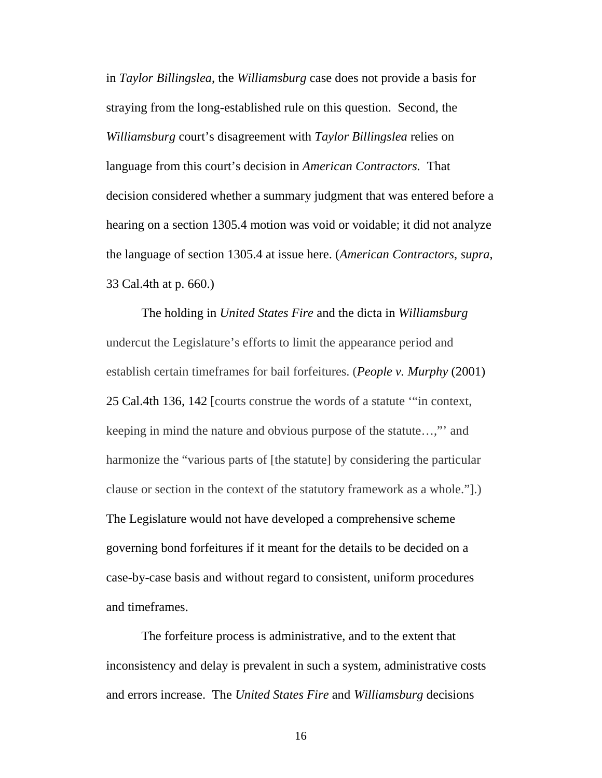in *Taylor Billingslea*, the *Williamsburg* case does not provide a basis for straying from the long-established rule on this question. Second, the *Williamsburg* court's disagreement with *Taylor Billingslea* relies on language from this court's decision in *American Contractors.* That decision considered whether a summary judgment that was entered before a hearing on a section 1305.4 motion was void or voidable; it did not analyze the language of section 1305.4 at issue here. (*American Contractors*, *supra*, 33 Cal.4th at p. 660.)

The holding in *United States Fire* and the dicta in *Williamsburg*  undercut the Legislature's efforts to limit the appearance period and establish certain timeframes for bail forfeitures. (*People v. Murphy* (2001) 25 Cal.4th 136, 142 [courts construe the words of a statute '"in context, keeping in mind the nature and obvious purpose of the statute…,"' and harmonize the "various parts of [the statute] by considering the particular clause or section in the context of the statutory framework as a whole."].) The Legislature would not have developed a comprehensive scheme governing bond forfeitures if it meant for the details to be decided on a case-by-case basis and without regard to consistent, uniform procedures and timeframes.

The forfeiture process is administrative, and to the extent that inconsistency and delay is prevalent in such a system, administrative costs and errors increase. The *United States Fire* and *Williamsburg* decisions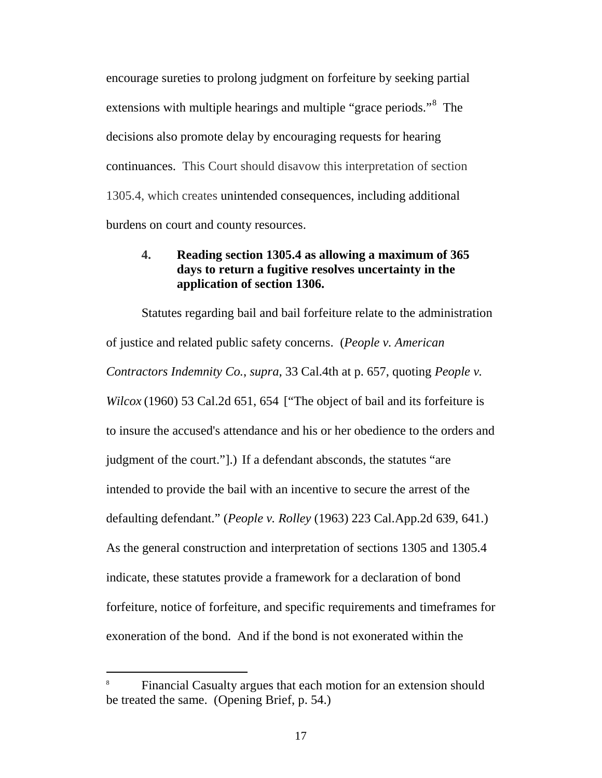encourage sureties to prolong judgment on forfeiture by seeking partial extensions with multiple hearings and multiple "grace periods."<sup>[8](#page-27-0)</sup> The decisions also promote delay by encouraging requests for hearing continuances. This Court should disavow this interpretation of section 1305.4, which creates unintended consequences, including additional burdens on court and county resources.

## **4. Reading section 1305.4 as allowing a maximum of 365 days to return a fugitive resolves uncertainty in the application of section 1306.**

Statutes regarding bail and bail forfeiture relate to the administration of justice and related public safety concerns. (*[People v. American](http://www.lexis.com/research/buttonTFLink?_m=ca4538eda0fb7936c47dcd34ba5eff8a&_xfercite=%3ccite%20cc%3d%22USA%22%3e%3c%21%5bCDATA%5b207%20Cal.%20App.%204th%20163%5d%5d%3e%3c%2fcite%3e&_butType=3&_butStat=2&_butNum=50&_butInline=1&_butinfo=%3ccite%20cc%3d%22USA%22%3e%3c%21%5bCDATA%5b33%20Cal.%204th%20653%2c%20657%5d%5d%3e%3c%2fcite%3e&_fmtstr=FULL&docnum=1&_startdoc=1&wchp=dGLzVzB-zSkAb&_md5=a36bbdbefd0710f09e7e005deb4bae36)  [Contractors Indemnity Co.](http://www.lexis.com/research/buttonTFLink?_m=ca4538eda0fb7936c47dcd34ba5eff8a&_xfercite=%3ccite%20cc%3d%22USA%22%3e%3c%21%5bCDATA%5b207%20Cal.%20App.%204th%20163%5d%5d%3e%3c%2fcite%3e&_butType=3&_butStat=2&_butNum=50&_butInline=1&_butinfo=%3ccite%20cc%3d%22USA%22%3e%3c%21%5bCDATA%5b33%20Cal.%204th%20653%2c%20657%5d%5d%3e%3c%2fcite%3e&_fmtstr=FULL&docnum=1&_startdoc=1&wchp=dGLzVzB-zSkAb&_md5=a36bbdbefd0710f09e7e005deb4bae36)*, *supra*, 33 Cal.4th at p. 657, quoting *People v. Wilcox* (1960) 53 Cal.2d 651, 654 ["The object of bail and its forfeiture is to insure the accused's attendance and his or her obedience to the orders and judgment of the court."].) If a defendant absconds, the statutes "are intended to provide the bail with an incentive to secure the arrest of the defaulting defendant." (*People v. Rolley* (1963) 223 Cal.App.2d 639, 641.) As the general construction and interpretation of sections 1305 and 1305.4 indicate, these statutes provide a framework for a declaration of bond forfeiture, notice of forfeiture, and specific requirements and timeframes for exoneration of the bond. And if the bond is not exonerated within the

<span id="page-27-0"></span><sup>&</sup>lt;sup>8</sup> Financial Casualty argues that each motion for an extension should be treated the same. (Opening Brief, p. 54.)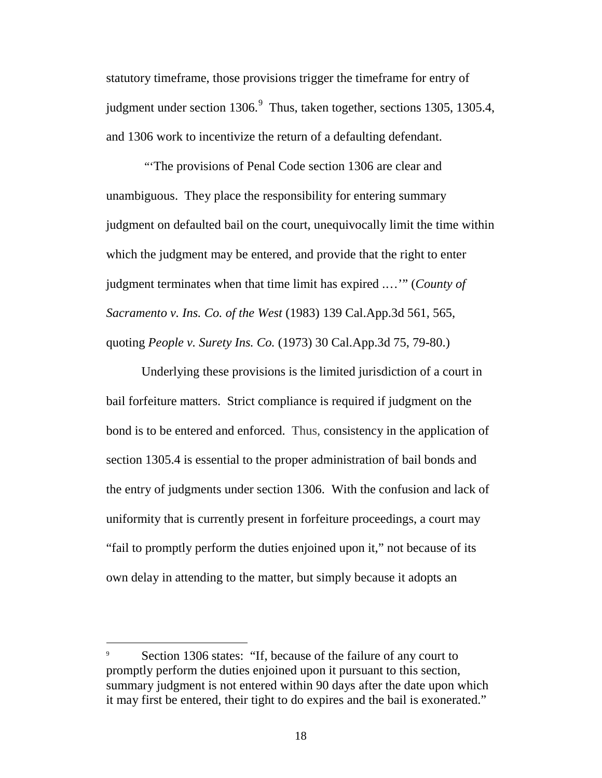statutory timeframe, those provisions trigger the timeframe for entry of judgment under section 1306.<sup>[9](#page-28-0)</sup> Thus, taken together, sections 1305, 1305.4, and 1306 work to incentivize the return of a defaulting defendant.

"'The provisions of Penal Code section 1306 are clear and unambiguous. They place the responsibility for entering summary judgment on defaulted bail on the court, unequivocally limit the time within which the judgment may be entered, and provide that the right to enter judgment terminates when that time limit has expired .…'" (*County of Sacramento v. Ins. Co. of the West* (1983) 139 Cal.App.3d 561, 565, quoting *People v. Surety Ins. Co.* (1973) 30 Cal.App.3d 75, 79-80.)

Underlying these provisions is the limited jurisdiction of a court in bail forfeiture matters. Strict compliance is required if judgment on the bond is to be entered and enforced. Thus, consistency in the application of section 1305.4 is essential to the proper administration of bail bonds and the entry of judgments under section 1306. With the confusion and lack of uniformity that is currently present in forfeiture proceedings, a court may "fail to promptly perform the duties enjoined upon it," not because of its own delay in attending to the matter, but simply because it adopts an

<span id="page-28-0"></span>Section 1306 states: "If, because of the failure of any court to promptly perform the duties enjoined upon it pursuant to this section, summary judgment is not entered within 90 days after the date upon which it may first be entered, their tight to do expires and the bail is exonerated."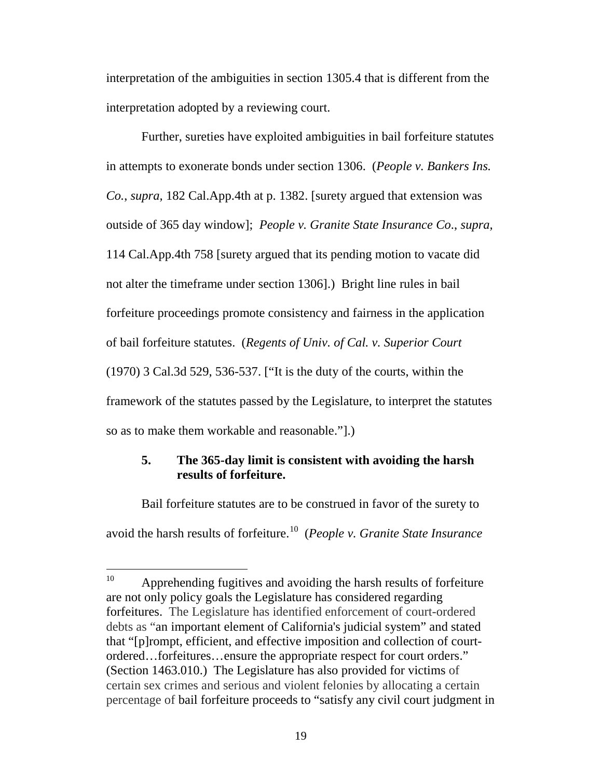interpretation of the ambiguities in section 1305.4 that is different from the interpretation adopted by a reviewing court.

Further, sureties have exploited ambiguities in bail forfeiture statutes in attempts to exonerate bonds under section 1306. (*People v. Bankers Ins. Co.*, *supra,* 182 Cal.App.4th at p. 1382. [surety argued that extension was outside of 365 day window]; *[People v. Granite State Insurance Co](http://www.lexis.com/research/xlink?app=00075&view=full&searchtype=le&search=114+Cal.+App.+4th+758)*., *supra,* [114 Cal.App.4th 758 \[](http://www.lexis.com/research/xlink?app=00075&view=full&searchtype=le&search=114+Cal.+App.+4th+758)surety argued that its pending motion to vacate did not alter the timeframe under section 1306].) Bright line rules in bail forfeiture proceedings promote consistency and fairness in the application of bail forfeiture statutes. (*Regents of Univ. of Cal. v. Superior Court* (1970) 3 Cal.3d 529, 536-537. ["It is the duty of the courts, within the framework of the statutes passed by the Legislature, to interpret the statutes so as to make them workable and reasonable."].)

## **5. The 365-day limit is consistent with avoiding the harsh results of forfeiture.**

Bail forfeiture statutes are to be construed in favor of the surety to avoid the harsh results of forfeiture.[10](#page-29-0) (*People v. Granite State Insurance* 

<span id="page-29-0"></span> $10$  Apprehending fugitives and avoiding the harsh results of forfeiture are not only policy goals the Legislature has considered regarding forfeitures. The Legislature has identified enforcement of court-ordered debts as "an important element of California's judicial system" and stated that "[p]rompt, efficient, and effective imposition and collection of courtordered…forfeitures…ensure the appropriate respect for court orders." (Section 1463.010.) The Legislature has also provided for victims of certain sex crimes and serious and violent felonies by allocating a certain percentage of bail forfeiture proceeds to "satisfy any civil court judgment in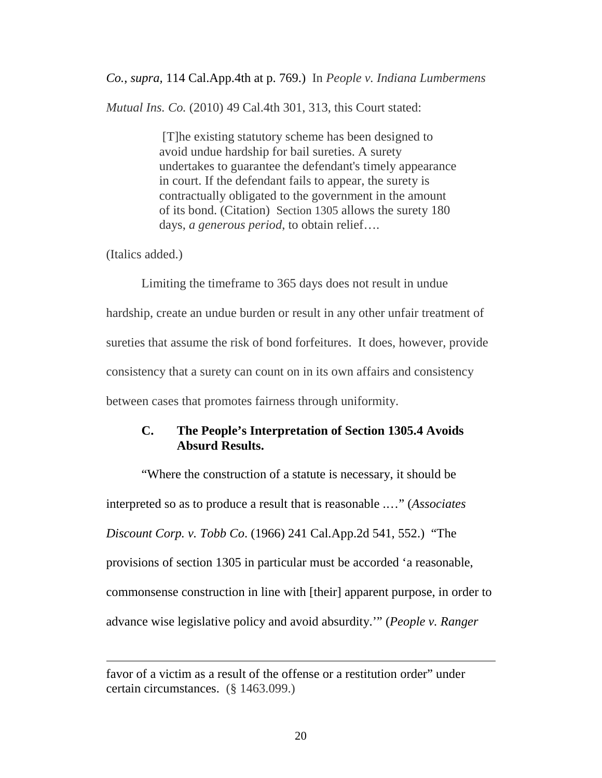*Co.*, *supra,* 114 Cal.App.4th at p. 769.) In *People v. Indiana Lumbermens* 

*Mutual Ins. Co.* (2010) 49 Cal.4th 301, 313, this Court stated:

[T]he existing statutory scheme has been designed to avoid undue hardship for bail sureties. A surety undertakes to guarantee the defendant's timely appearance in court. If the defendant fails to appear, the surety is contractually obligated to the government in the amount of its bond. (Citation) [Section 1305](http://www.lexis.com/research/buttonTFLink?_m=6687b0070faf4df18cad7dbf1ff914b8&_xfercite=%3ccite%20cc%3d%22USA%22%3e%3c%21%5bCDATA%5b49%20Cal.%204th%20301%5d%5d%3e%3c%2fcite%3e&_butType=4&_butStat=0&_butNum=164&_butInline=1&_butinfo=CAL.%20PENAL%20CODE%201305&_fmtstr=FULL&docnum=1&_startdoc=1&wchp=dGLbVzk-zSkAz&_md5=1dadc2f8b32b38e6fce270800a691a03) allows the surety 180 days, *a generous period*, to obtain relief….

(Italics added.)

 $\overline{a}$ 

Limiting the timeframe to 365 days does not result in undue hardship, create an undue burden or result in any other unfair treatment of sureties that assume the risk of bond forfeitures. It does, however, provide consistency that a surety can count on in its own affairs and consistency between cases that promotes fairness through uniformity.

#### **C. The People's Interpretation of Section 1305.4 Avoids Absurd Results.**

"Where the construction of a statute is necessary, it should be interpreted so as to produce a result that is reasonable .…" (*Associates Discount Corp. v. Tobb Co*. (1966) 241 Cal.App.2d 541, 552.) "The provisions of section 1305 in particular must be accorded 'a reasonable, commonsense construction in line with [their] apparent purpose, in order to advance wise legislative policy and avoid absurdity.'" (*People v. Ranger* 

favor of a victim as a result of the offense or a restitution order" under certain circumstances. (§ 1463.099.)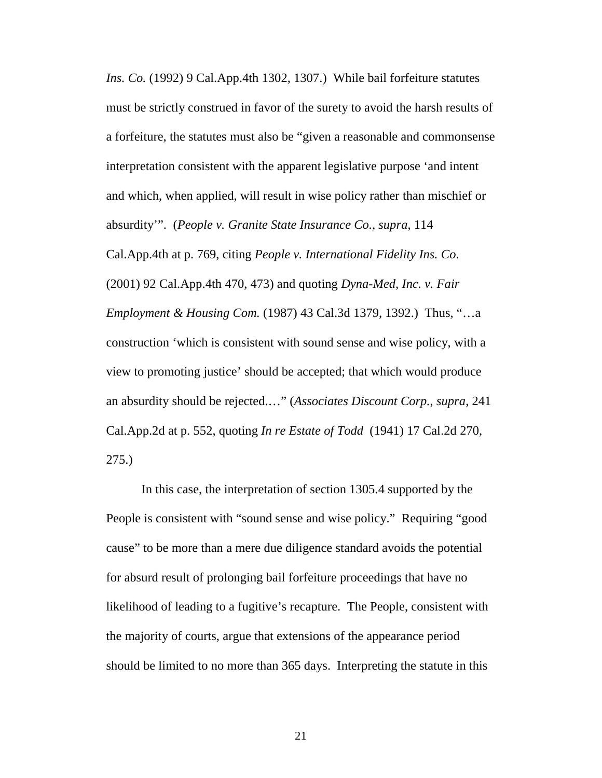*Ins. Co.* (1992) 9 Cal.App.4th 1302, 1307.) While bail forfeiture statutes must be strictly construed in favor of the surety to avoid the harsh results of a forfeiture, the statutes must also be "given a reasonable and commonsense interpretation consistent with the apparent legislative purpose 'and intent and which, when applied, will result in wise policy rather than mischief or absurdity'". (*People v. Granite State Insurance Co.*, *supra*, 114 Cal.App.4th at p. 769, citing *[People v. International Fidelity Ins. Co](http://www.lexis.com/research/buttonTFLink?_m=f9c3a96e8b6ce4039e08b312803b9db7&_xfercite=%3ccite%20cc%3d%22USA%22%3e%3c%21%5bCDATA%5b114%20Cal.%20App.%204th%20758%5d%5d%3e%3c%2fcite%3e&_butType=3&_butStat=2&_butNum=194&_butInline=1&_butinfo=%3ccite%20cc%3d%22USA%22%3e%3c%21%5bCDATA%5b92%20Cal.%20App.%204th%20470%2c%20473%5d%5d%3e%3c%2fcite%3e&_fmtstr=FULL&docnum=1&_startdoc=1&wchp=dGLbVzB-zSkAz&_md5=976a454592acd4b385d3777722e89757)*. [\(2001\) 92 Cal.App.4th 470, 473\)](http://www.lexis.com/research/buttonTFLink?_m=f9c3a96e8b6ce4039e08b312803b9db7&_xfercite=%3ccite%20cc%3d%22USA%22%3e%3c%21%5bCDATA%5b114%20Cal.%20App.%204th%20758%5d%5d%3e%3c%2fcite%3e&_butType=3&_butStat=2&_butNum=194&_butInline=1&_butinfo=%3ccite%20cc%3d%22USA%22%3e%3c%21%5bCDATA%5b92%20Cal.%20App.%204th%20470%2c%20473%5d%5d%3e%3c%2fcite%3e&_fmtstr=FULL&docnum=1&_startdoc=1&wchp=dGLbVzB-zSkAz&_md5=976a454592acd4b385d3777722e89757) and quoting *[Dyna-Med, Inc. v. Fair](http://www.lexis.com/research/buttonTFLink?_m=f9c3a96e8b6ce4039e08b312803b9db7&_xfercite=%3ccite%20cc%3d%22USA%22%3e%3c%21%5bCDATA%5b114%20Cal.%20App.%204th%20758%5d%5d%3e%3c%2fcite%3e&_butType=3&_butStat=2&_butNum=195&_butInline=1&_butinfo=%3ccite%20cc%3d%22USA%22%3e%3c%21%5bCDATA%5b43%20Cal.%203d%201379%2c%201392%5d%5d%3e%3c%2fcite%3e&_fmtstr=FULL&docnum=1&_startdoc=1&wchp=dGLbVzB-zSkAz&_md5=9d38a7048e56b850012befab3a54b5f3)  [Employment & Housing Com.](http://www.lexis.com/research/buttonTFLink?_m=f9c3a96e8b6ce4039e08b312803b9db7&_xfercite=%3ccite%20cc%3d%22USA%22%3e%3c%21%5bCDATA%5b114%20Cal.%20App.%204th%20758%5d%5d%3e%3c%2fcite%3e&_butType=3&_butStat=2&_butNum=195&_butInline=1&_butinfo=%3ccite%20cc%3d%22USA%22%3e%3c%21%5bCDATA%5b43%20Cal.%203d%201379%2c%201392%5d%5d%3e%3c%2fcite%3e&_fmtstr=FULL&docnum=1&_startdoc=1&wchp=dGLbVzB-zSkAz&_md5=9d38a7048e56b850012befab3a54b5f3)* (1987) 43 Cal.3d 1379, 1392.) Thus, "…a construction 'which is consistent with sound sense and wise policy, with a view to promoting justice' should be accepted; that which would produce an absurdity should be rejected.…" (*Associates Discount Corp.*, *supra*, 241 Cal.App.2d at p. 552, quoting *In re Estate of Todd* (1941) 17 Cal.2d 270, 275.)

In this case, the interpretation of section 1305.4 supported by the People is consistent with "sound sense and wise policy." Requiring "good cause" to be more than a mere due diligence standard avoids the potential for absurd result of prolonging bail forfeiture proceedings that have no likelihood of leading to a fugitive's recapture. The People, consistent with the majority of courts, argue that extensions of the appearance period should be limited to no more than 365 days. Interpreting the statute in this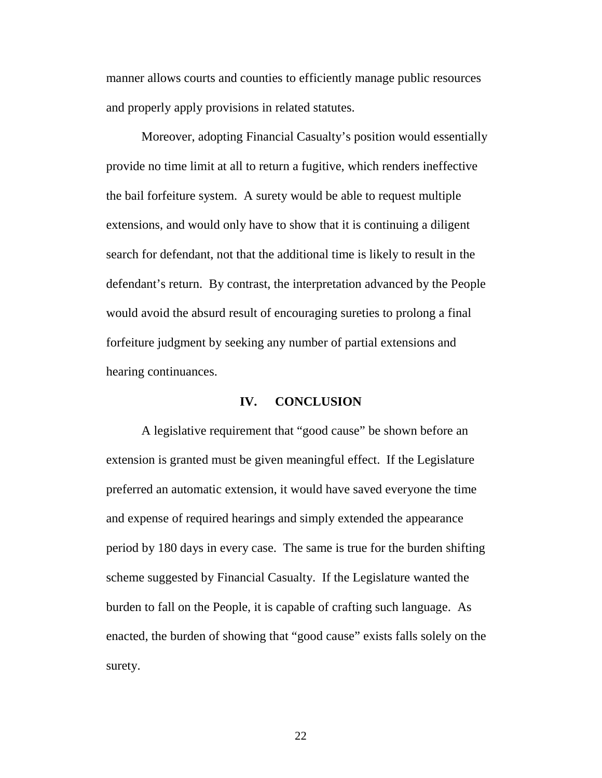manner allows courts and counties to efficiently manage public resources and properly apply provisions in related statutes.

Moreover, adopting Financial Casualty's position would essentially provide no time limit at all to return a fugitive, which renders ineffective the bail forfeiture system. A surety would be able to request multiple extensions, and would only have to show that it is continuing a diligent search for defendant, not that the additional time is likely to result in the defendant's return. By contrast, the interpretation advanced by the People would avoid the absurd result of encouraging sureties to prolong a final forfeiture judgment by seeking any number of partial extensions and hearing continuances.

#### **IV. CONCLUSION**

A legislative requirement that "good cause" be shown before an extension is granted must be given meaningful effect. If the Legislature preferred an automatic extension, it would have saved everyone the time and expense of required hearings and simply extended the appearance period by 180 days in every case. The same is true for the burden shifting scheme suggested by Financial Casualty. If the Legislature wanted the burden to fall on the People, it is capable of crafting such language. As enacted, the burden of showing that "good cause" exists falls solely on the surety.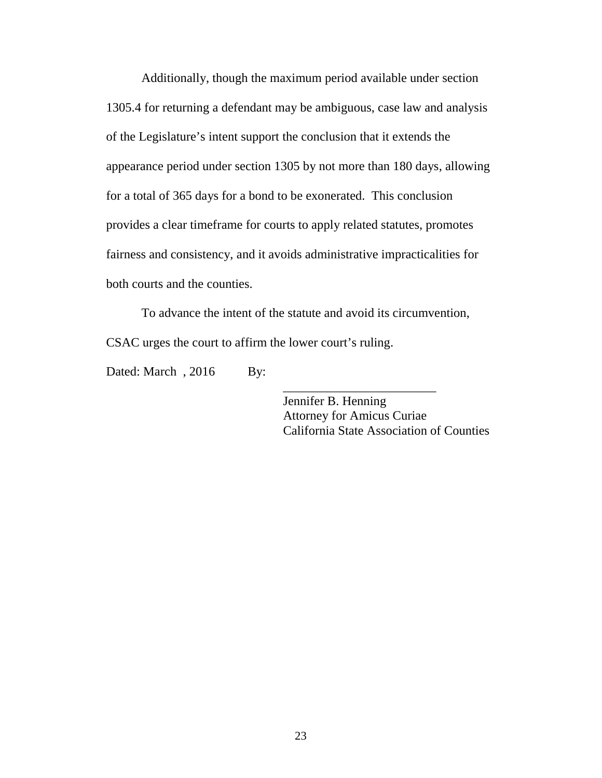Additionally, though the maximum period available under section 1305.4 for returning a defendant may be ambiguous, case law and analysis of the Legislature's intent support the conclusion that it extends the appearance period under section 1305 by not more than 180 days, allowing for a total of 365 days for a bond to be exonerated. This conclusion provides a clear timeframe for courts to apply related statutes, promotes fairness and consistency, and it avoids administrative impracticalities for both courts and the counties.

To advance the intent of the statute and avoid its circumvention, CSAC urges the court to affirm the lower court's ruling.

Dated: March, 2016 By:

Jennifer B. Henning Attorney for Amicus Curiae California State Association of Counties

\_\_\_\_\_\_\_\_\_\_\_\_\_\_\_\_\_\_\_\_\_\_\_\_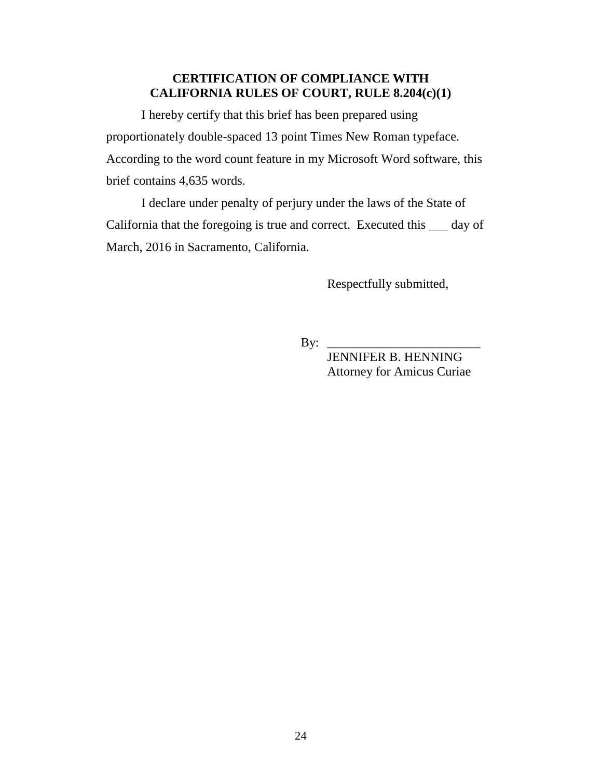# **CERTIFICATION OF COMPLIANCE WITH CALIFORNIA RULES OF COURT, RULE 8.204(c)(1)**

I hereby certify that this brief has been prepared using proportionately double-spaced 13 point Times New Roman typeface. According to the word count feature in my Microsoft Word software, this brief contains 4,635 words.

I declare under penalty of perjury under the laws of the State of California that the foregoing is true and correct. Executed this \_\_\_ day of March, 2016 in Sacramento, California.

Respectfully submitted,

 $\mathbf{By:}$ 

 JENNIFER B. HENNING Attorney for Amicus Curiae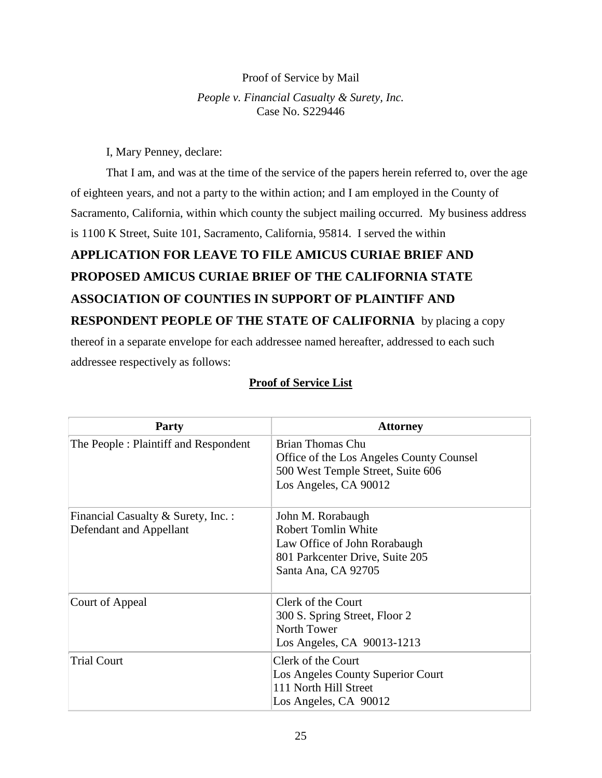#### Proof of Service by Mail

*People v. Financial Casualty & Surety, Inc.* Case No. S229446

I, Mary Penney, declare:

That I am, and was at the time of the service of the papers herein referred to, over the age of eighteen years, and not a party to the within action; and I am employed in the County of Sacramento, California, within which county the subject mailing occurred. My business address is 1100 K Street, Suite 101, Sacramento, California, 95814. I served the within

# **APPLICATION FOR LEAVE TO FILE AMICUS CURIAE BRIEF AND PROPOSED AMICUS CURIAE BRIEF OF THE CALIFORNIA STATE ASSOCIATION OF COUNTIES IN SUPPORT OF PLAINTIFF AND RESPONDENT PEOPLE OF THE STATE OF CALIFORNIA** by placing a copy thereof in a separate envelope for each addressee named hereafter, addressed to each such

addressee respectively as follows:

## **Proof of Service List**

| <b>Party</b>                         | <b>Attorney</b>                                                                                                            |
|--------------------------------------|----------------------------------------------------------------------------------------------------------------------------|
| The People: Plaintiff and Respondent | Brian Thomas Chu<br>Office of the Los Angeles County Counsel<br>500 West Temple Street, Suite 606<br>Los Angeles, CA 90012 |
| Financial Casualty & Surety, Inc. :  | John M. Rorabaugh                                                                                                          |
| Defendant and Appellant              | <b>Robert Tomlin White</b><br>Law Office of John Rorabaugh                                                                 |
|                                      | 801 Parkcenter Drive, Suite 205                                                                                            |
|                                      | Santa Ana, CA 92705                                                                                                        |
| Court of Appeal                      | Clerk of the Court                                                                                                         |
|                                      | 300 S. Spring Street, Floor 2                                                                                              |
|                                      | North Tower                                                                                                                |
|                                      | Los Angeles, CA 90013-1213                                                                                                 |
| <b>Trial Court</b>                   | Clerk of the Court                                                                                                         |
|                                      | Los Angeles County Superior Court                                                                                          |
|                                      | 111 North Hill Street<br>Los Angeles, CA 90012                                                                             |
|                                      |                                                                                                                            |